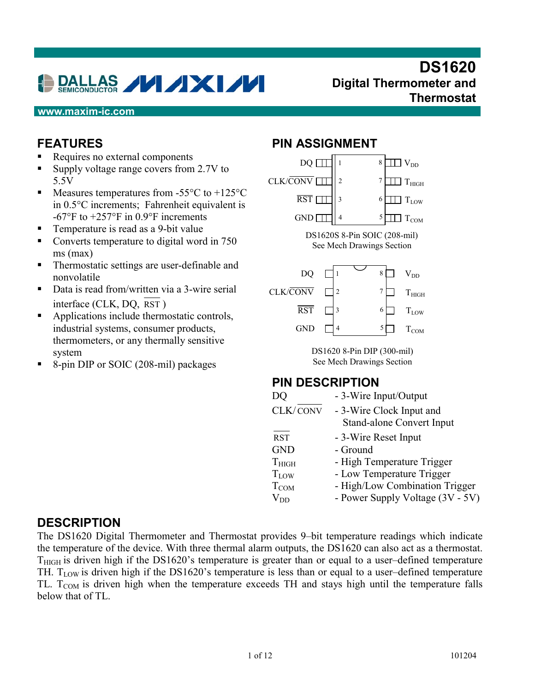# DALLAS **VIXI/V**

## **DS1620 Digital Thermometer and Thermostat**

#### **www.maxim-ic.com**

#### **FEATURES**

- -Requires no external components
- -Supply voltage range covers from 2.7V to 5.5V
- -Measures temperatures from -55°C to +125°C in 0.5°C increments; Fahrenheit equivalent is  $-67^{\circ}$ F to  $+257^{\circ}$ F in 0.9°F increments
- -Temperature is read as a 9-bit value
- -Converts temperature to digital word in 750 ms (max)
- -Thermostatic settings are user-definable and nonvolatile
- -Data is read from/written via a 3-wire serial interface (CLK, DQ, RST )
- -Applications include thermostatic controls, industrial systems, consumer products, thermometers, or any thermally sensitive system
- -8-pin DIP or SOIC (208-mil) packages

#### **PIN ASSIGNMENT**



 $V_{DD}$  - Power Supply Voltage  $(3V - 5V)$ 

#### **DESCRIPTION**

The DS1620 Digital Thermometer and Thermostat provides 9–bit temperature readings which indicate the temperature of the device. With three thermal alarm outputs, the DS1620 can also act as a thermostat.  $T<sub>HIGH</sub>$  is driven high if the DS1620's temperature is greater than or equal to a user-defined temperature TH.  $T_{LOW}$  is driven high if the DS1620's temperature is less than or equal to a user-defined temperature TL. T<sub>COM</sub> is driven high when the temperature exceeds TH and stays high until the temperature falls below that of TL.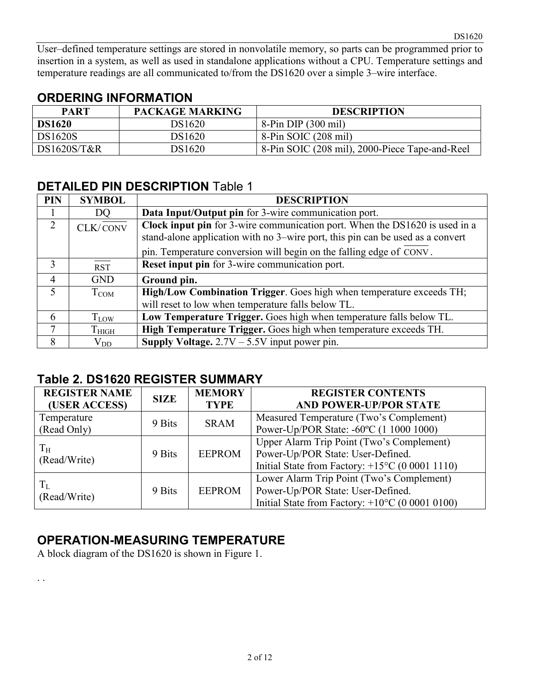DS1620

## **ORDERING INFORMATION**

| <b>PART</b>   | <b>PACKAGE MARKING</b> | <b>DESCRIPTION</b>                             |
|---------------|------------------------|------------------------------------------------|
| <b>DS1620</b> | DS1620                 | $8-Pin DIP(300 mil)$                           |
| DS1620S       | DS1620                 | 8-Pin SOIC (208 mil)                           |
| DS1620S/T&R   | DS1620                 | 8-Pin SOIC (208 mil), 2000-Piece Tape-and-Reel |

## **DETAILED PIN DESCRIPTION** Table 1

| <b>PIN</b>     | <b>SYMBOL</b>       | <b>DESCRIPTION</b>                                                                                                                                            |
|----------------|---------------------|---------------------------------------------------------------------------------------------------------------------------------------------------------------|
|                | DQ                  | Data Input/Output pin for 3-wire communication port.                                                                                                          |
| 2              | CLK/CONV            | Clock input pin for 3-wire communication port. When the DS1620 is used in a<br>stand-alone application with no 3-wire port, this pin can be used as a convert |
|                |                     | pin. Temperature conversion will begin on the falling edge of CONV.                                                                                           |
| $\mathcal{E}$  | <b>RST</b>          | <b>Reset input pin</b> for 3-wire communication port.                                                                                                         |
| $\overline{4}$ | <b>GND</b>          | Ground pin.                                                                                                                                                   |
| 5              | $T_{COM}$           | High/Low Combination Trigger. Goes high when temperature exceeds TH;                                                                                          |
|                |                     | will reset to low when temperature falls below TL.                                                                                                            |
| 6              | T <sub>LOW</sub>    | Low Temperature Trigger. Goes high when temperature falls below TL.                                                                                           |
| 7              | $\mathrm{T_{HIGH}}$ | High Temperature Trigger. Goes high when temperature exceeds TH.                                                                                              |
| 8              | $\rm V_{DD}$        | <b>Supply Voltage.</b> $2.7V - 5.5V$ input power pin.                                                                                                         |

## **Table 2. DS1620 REGISTER SUMMARY**

| <b>REGISTER NAME</b>         | <b>SIZE</b> | <b>MEMORY</b> | <b>REGISTER CONTENTS</b>                                  |
|------------------------------|-------------|---------------|-----------------------------------------------------------|
| (USER ACCESS)<br><b>TYPE</b> |             |               | <b>AND POWER-UP/POR STATE</b>                             |
| Temperature                  | 9 Bits      | <b>SRAM</b>   | Measured Temperature (Two's Complement)                   |
| (Read Only)                  |             |               | Power-Up/POR State: -60°C (1 1000 1000)                   |
|                              |             |               | Upper Alarm Trip Point (Two's Complement)                 |
| $T_{\rm H}$<br>(Read/Write)  | 9 Bits      | <b>EEPROM</b> | Power-Up/POR State: User-Defined.                         |
|                              |             |               | Initial State from Factory: $+15^{\circ}$ C (0 0001 1110) |
|                              |             |               | Lower Alarm Trip Point (Two's Complement)                 |
| $T_{L}$<br>(Read/Write)      | 9 Bits      | <b>EEPROM</b> | Power-Up/POR State: User-Defined.                         |
|                              |             |               | Initial State from Factory: $+10^{\circ}$ C (0 0001 0100) |

# **OPERATION-MEASURING TEMPERATURE**

A block diagram of the DS1620 is shown in Figure 1.

. .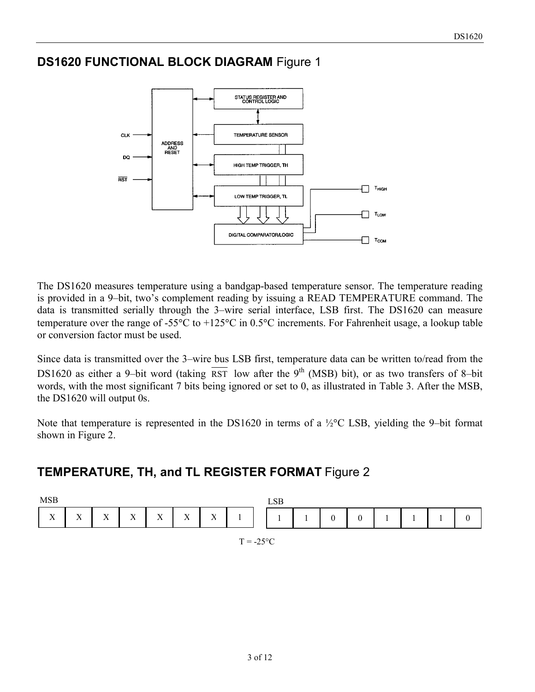## **DS1620 FUNCTIONAL BLOCK DIAGRAM** Figure 1



The DS1620 measures temperature using a bandgap-based temperature sensor. The temperature reading is provided in a 9–bit, two's complement reading by issuing a READ TEMPERATURE command. The data is transmitted serially through the 3–wire serial interface, LSB first. The DS1620 can measure temperature over the range of -55 $\degree$ C to +125 $\degree$ C in 0.5 $\degree$ C increments. For Fahrenheit usage, a lookup table or conversion factor must be used.

Since data is transmitted over the 3–wire bus LSB first, temperature data can be written to/read from the DS1620 as either a 9-bit word (taking  $\overline{RST}$  low after the 9<sup>th</sup> (MSB) bit), or as two transfers of 8-bit words, with the most significant 7 bits being ignored or set to 0, as illustrated in Table 3. After the MSB, the DS1620 will output 0s.

Note that temperature is represented in the DS1620 in terms of a  $\frac{1}{2}$ °C LSB, yielding the 9–bit format shown in Figure 2.

## **TEMPERATURE, TH, and TL REGISTER FORMAT** Figure 2

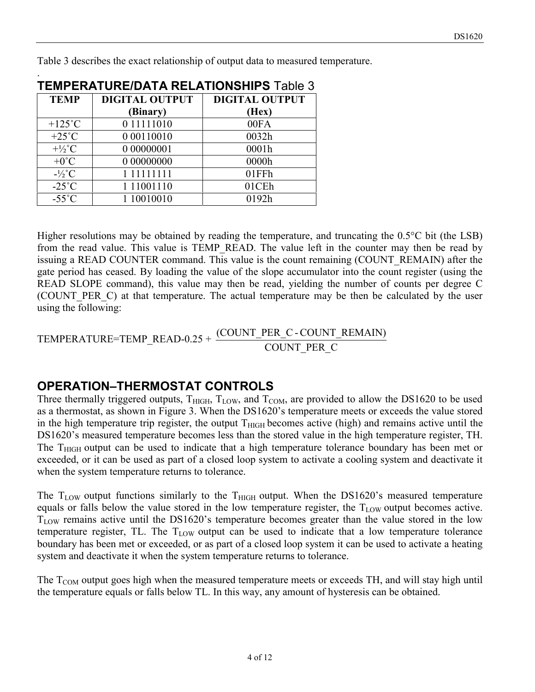Table 3 describes the exact relationship of output data to measured temperature.

| <b>TEMPERATURE/DATA RELATIONSHIPS Table 3</b> |                       |                       |  |  |  |
|-----------------------------------------------|-----------------------|-----------------------|--|--|--|
| <b>TEMP</b>                                   | <b>DIGITAL OUTPUT</b> | <b>DIGITAL OUTPUT</b> |  |  |  |
|                                               | (Binary)              | (Hex)                 |  |  |  |
| $+125^{\circ}$ C                              | 0 11111010            | 00FA                  |  |  |  |
| $+25^{\circ}C$                                | 0 00110010            | 0032h                 |  |  |  |
| $+\frac{1}{2}$ °C                             | 0 00000001            | 0001h                 |  |  |  |
| $+0^{\circ}C$                                 | 0 00000000            | 0000h                 |  |  |  |
| $-1/2$ °C                                     | 1 11111111            | 01FFh                 |  |  |  |
| $-25^{\circ}$ C                               | 1 11001110            | 01CEh                 |  |  |  |
| $-55^{\circ}$ C                               | 1 10010010            | 0192h                 |  |  |  |

.

Higher resolutions may be obtained by reading the temperature, and truncating the 0.5°C bit (the LSB) from the read value. This value is TEMP READ. The value left in the counter may then be read by issuing a READ COUNTER command. This value is the count remaining (COUNT\_REMAIN) after the gate period has ceased. By loading the value of the slope accumulator into the count register (using the READ SLOPE command), this value may then be read, yielding the number of counts per degree C (COUNT\_PER\_C) at that temperature. The actual temperature may be then be calculated by the user using the following:

 $\frac{\text{TEMPERATURE} = \text{TEMP\_READ-0.25} + \frac{(\text{COUNT\_PER\_C-COUNT\_REMAIN})}{\text{COUNT PER C}}$ 

## **OPERATION–THERMOSTAT CONTROLS**

Three thermally triggered outputs,  $T_{\text{HIGH}}$ ,  $T_{\text{LOW}}$ , and  $T_{\text{COM}}$ , are provided to allow the DS1620 to be used as a thermostat, as shown in Figure 3. When the DS1620's temperature meets or exceeds the value stored in the high temperature trip register, the output  $T<sub>HIGH</sub>$  becomes active (high) and remains active until the DS1620's measured temperature becomes less than the stored value in the high temperature register, TH. The T<sub>HIGH</sub> output can be used to indicate that a high temperature tolerance boundary has been met or exceeded, or it can be used as part of a closed loop system to activate a cooling system and deactivate it when the system temperature returns to tolerance.

The  $T_{LOW}$  output functions similarly to the  $T_{HIGH}$  output. When the DS1620's measured temperature equals or falls below the value stored in the low temperature register, the  $T_{LOW}$  output becomes active.  $T_{\text{LOW}}$  remains active until the DS1620's temperature becomes greater than the value stored in the low temperature register, TL. The  $T_{LOW}$  output can be used to indicate that a low temperature tolerance boundary has been met or exceeded, or as part of a closed loop system it can be used to activate a heating system and deactivate it when the system temperature returns to tolerance.

The  $T_{COM}$  output goes high when the measured temperature meets or exceeds TH, and will stay high until the temperature equals or falls below TL. In this way, any amount of hysteresis can be obtained.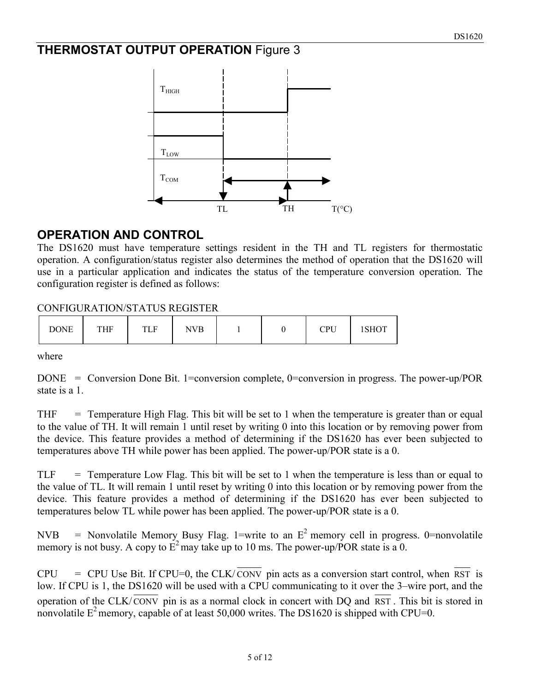## **THERMOSTAT OUTPUT OPERATION** Figure 3



## **OPERATION AND CONTROL**

The DS1620 must have temperature settings resident in the TH and TL registers for thermostatic operation. A configuration/status register also determines the method of operation that the DS1620 will use in a particular application and indicates the status of the temperature conversion operation. The configuration register is defined as follows:

#### CONFIGURATION/STATUS REGISTER

| <b>DONE</b> | THF | TLF | NVB |  |  | CDI<br>u u | 1011 U |
|-------------|-----|-----|-----|--|--|------------|--------|
|-------------|-----|-----|-----|--|--|------------|--------|

where

DONE = Conversion Done Bit. 1=conversion complete, 0=conversion in progress. The power-up/POR state is a 1

 $THF = Temperature High Flag. This bit will be set to 1 when the temperature is greater than or equal$ to the value of TH. It will remain 1 until reset by writing 0 into this location or by removing power from the device. This feature provides a method of determining if the DS1620 has ever been subjected to temperatures above TH while power has been applied. The power-up/POR state is a 0.

 $TLF = Temperature Low Flag. This bit will be set to 1 when the temperature is less than or equal to$ the value of TL. It will remain 1 until reset by writing 0 into this location or by removing power from the device. This feature provides a method of determining if the DS1620 has ever been subjected to temperatures below TL while power has been applied. The power-up/POR state is a 0.

NVB = Nonvolatile Memory Busy Flag. 1=write to an  $E^2$  memory cell in progress. 0=nonvolatile memory is not busy. A copy to  $E^2$  may take up to 10 ms. The power-up/POR state is a 0.

 $CPU = CPU Use Bit. If CPU=0, the CLK/CONV pin acts as a conversion start control, when RST is$ low. If CPU is 1, the DS1620 will be used with a CPU communicating to it over the 3–wire port, and the operation of the CLK/ CONV pin is as a normal clock in concert with DQ and RST . This bit is stored in nonvolatile  $E^2$  memory, capable of at least 50,000 writes. The DS1620 is shipped with CPU=0.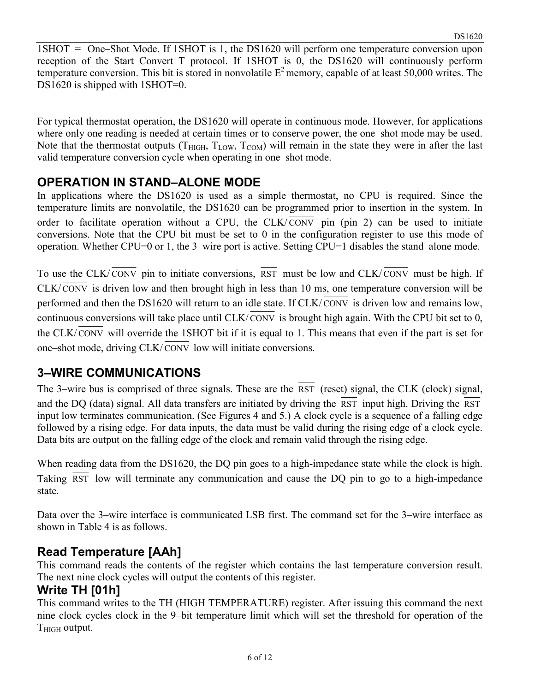1SHOT = One–Shot Mode. If 1SHOT is 1, the DS1620 will perform one temperature conversion upon reception of the Start Convert T protocol. If 1SHOT is 0, the DS1620 will continuously perform temperature conversion. This bit is stored in nonvolatile  $E^2$  memory, capable of at least 50,000 writes. The DS1620 is shipped with 1SHOT=0.

For typical thermostat operation, the DS1620 will operate in continuous mode. However, for applications where only one reading is needed at certain times or to conserve power, the one–shot mode may be used. Note that the thermostat outputs ( $T_{\text{HIGH}}$ ,  $T_{\text{LOW}}$ ,  $T_{\text{COM}}$ ) will remain in the state they were in after the last valid temperature conversion cycle when operating in one–shot mode.

## **OPERATION IN STAND–ALONE MODE**

In applications where the DS1620 is used as a simple thermostat, no CPU is required. Since the temperature limits are nonvolatile, the DS1620 can be programmed prior to insertion in the system. In order to facilitate operation without a CPU, the  $CLK/CONV$  pin (pin 2) can be used to initiate conversions. Note that the CPU bit must be set to 0 in the configuration register to use this mode of operation. Whether CPU=0 or 1, the 3–wire port is active. Setting CPU=1 disables the stand–alone mode.

To use the CLK/ CONV pin to initiate conversions, RST must be low and CLK/ CONV must be high. If  $CLK/CONV$  is driven low and then brought high in less than 10 ms, one temperature conversion will be performed and then the DS1620 will return to an idle state. If CLK/ CONV is driven low and remains low, continuous conversions will take place until CLK/CONV is brought high again. With the CPU bit set to 0, the CLK/ $\overline{\text{CONV}}$  will override the 1SHOT bit if it is equal to 1. This means that even if the part is set for one–shot mode, driving CLK/ CONV low will initiate conversions.

## **3–WIRE COMMUNICATIONS**

The 3–wire bus is comprised of three signals. These are the RST (reset) signal, the CLK (clock) signal, and the DQ (data) signal. All data transfers are initiated by driving the RST input high. Driving the RST input low terminates communication. (See Figures 4 and 5.) A clock cycle is a sequence of a falling edge followed by a rising edge. For data inputs, the data must be valid during the rising edge of a clock cycle. Data bits are output on the falling edge of the clock and remain valid through the rising edge.

When reading data from the DS1620, the DQ pin goes to a high-impedance state while the clock is high. Taking RST low will terminate any communication and cause the DQ pin to go to a high-impedance state.

Data over the 3–wire interface is communicated LSB first. The command set for the 3–wire interface as shown in Table 4 is as follows.

## **Read Temperature [AAh]**

This command reads the contents of the register which contains the last temperature conversion result. The next nine clock cycles will output the contents of this register.

## **Write TH [01h]**

This command writes to the TH (HIGH TEMPERATURE) register. After issuing this command the next nine clock cycles clock in the 9–bit temperature limit which will set the threshold for operation of the  $T<sub>HIGH</sub>$  output.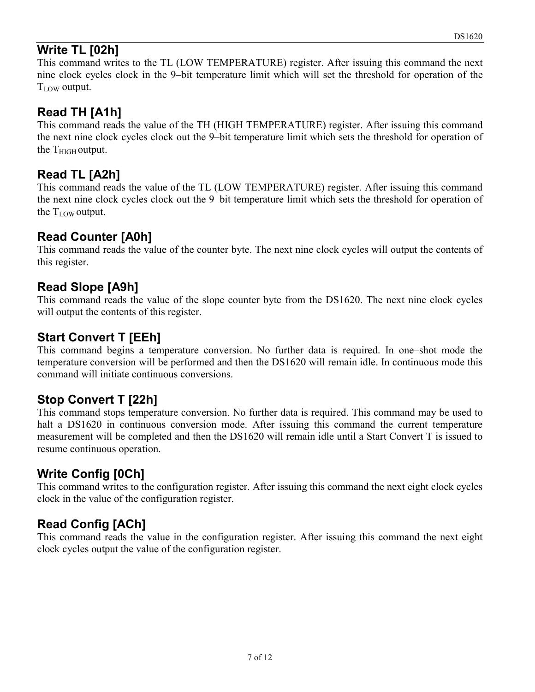## **Write TL [02h]**

This command writes to the TL (LOW TEMPERATURE) register. After issuing this command the next nine clock cycles clock in the 9–bit temperature limit which will set the threshold for operation of the  $T_{\text{LOW}}$  output.

## **Read TH [A1h]**

This command reads the value of the TH (HIGH TEMPERATURE) register. After issuing this command the next nine clock cycles clock out the 9–bit temperature limit which sets the threshold for operation of the  $T<sub>HIGH</sub>$  output.

## **Read TL [A2h]**

This command reads the value of the TL (LOW TEMPERATURE) register. After issuing this command the next nine clock cycles clock out the 9–bit temperature limit which sets the threshold for operation of the  $T_{LOW}$  output.

## **Read Counter [A0h]**

This command reads the value of the counter byte. The next nine clock cycles will output the contents of this register.

## **Read Slope [A9h]**

This command reads the value of the slope counter byte from the DS1620. The next nine clock cycles will output the contents of this register.

# **Start Convert T [EEh]**

This command begins a temperature conversion. No further data is required. In one–shot mode the temperature conversion will be performed and then the DS1620 will remain idle. In continuous mode this command will initiate continuous conversions.

# **Stop Convert T [22h]**

This command stops temperature conversion. No further data is required. This command may be used to halt a DS1620 in continuous conversion mode. After issuing this command the current temperature measurement will be completed and then the DS1620 will remain idle until a Start Convert T is issued to resume continuous operation.

# **Write Config [0Ch]**

This command writes to the configuration register. After issuing this command the next eight clock cycles clock in the value of the configuration register.

# **Read Config [ACh]**

This command reads the value in the configuration register. After issuing this command the next eight clock cycles output the value of the configuration register.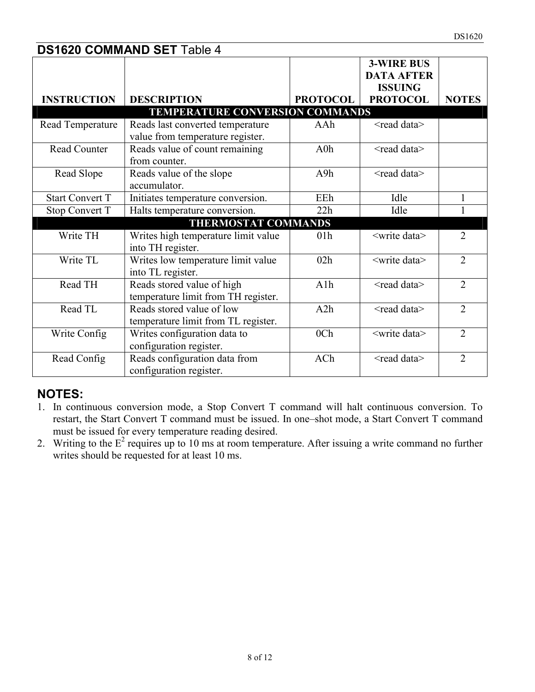|                        | <b>DS1620 COMMAND SET Table 4</b>      |                 |                                                          |                |
|------------------------|----------------------------------------|-----------------|----------------------------------------------------------|----------------|
|                        |                                        |                 | <b>3-WIRE BUS</b><br><b>DATA AFTER</b><br><b>ISSUING</b> |                |
| <b>INSTRUCTION</b>     | <b>DESCRIPTION</b>                     | <b>PROTOCOL</b> | <b>PROTOCOL</b>                                          | <b>NOTES</b>   |
|                        | <b>TEMPERATURE CONVERSION COMMANDS</b> |                 |                                                          |                |
| Read Temperature       | Reads last converted temperature       | AAh             | <read data=""></read>                                    |                |
|                        | value from temperature register.       |                 |                                                          |                |
| Read Counter           | Reads value of count remaining         | A0h             | <read data=""></read>                                    |                |
|                        | from counter.                          |                 |                                                          |                |
| Read Slope             | Reads value of the slope               | A9h             | <read data=""></read>                                    |                |
|                        | accumulator.                           |                 |                                                          |                |
| <b>Start Convert T</b> | Initiates temperature conversion.      | EEh             | Idle                                                     | $\mathbf{1}$   |
| Stop Convert T         | Halts temperature conversion.          | 22h             | Idle                                                     |                |
|                        | <b>THERMOSTAT COMMANDS</b>             |                 |                                                          |                |
| Write TH               | Writes high temperature limit value    | 01h             | <write data=""></write>                                  | $\overline{2}$ |
|                        | into TH register.                      |                 |                                                          |                |
| Write TL               | Writes low temperature limit value     | 02h             | <write data=""></write>                                  | $\overline{2}$ |
|                        | into TL register.                      |                 |                                                          |                |
| Read TH                | Reads stored value of high             | A1h             | <read data=""></read>                                    | $\overline{2}$ |
|                        | temperature limit from TH register.    |                 |                                                          |                |
| Read TL                | Reads stored value of low              | A2h             | <read data=""></read>                                    | $\overline{2}$ |
|                        | temperature limit from TL register.    |                 |                                                          |                |
| Write Config           | Writes configuration data to           | 0 <sub>Ch</sub> | <write data=""></write>                                  | $\overline{2}$ |
|                        | configuration register.                |                 |                                                          |                |
| Read Config            | Reads configuration data from          | ACh             | <read data=""></read>                                    | $\overline{2}$ |
|                        | configuration register.                |                 |                                                          |                |

#### **NOTES:**

- 1. In continuous conversion mode, a Stop Convert T command will halt continuous conversion. To restart, the Start Convert T command must be issued. In one–shot mode, a Start Convert T command must be issued for every temperature reading desired.
- 2. Writing to the  $E^2$  requires up to 10 ms at room temperature. After issuing a write command no further writes should be requested for at least 10 ms.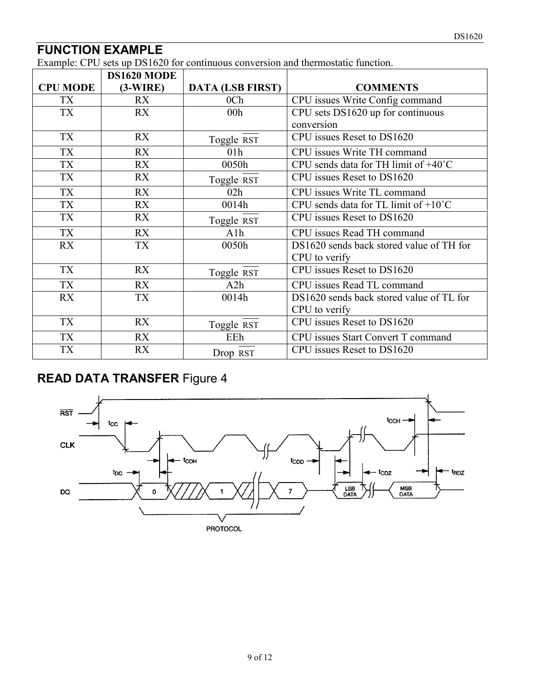## **FUNCTION EXAMPLE**

Example: CPU sets up DS1620 for continuous conversion and thermostatic function.

|                 | DS1620 MODE |                         |                                                |
|-----------------|-------------|-------------------------|------------------------------------------------|
| <b>CPU MODE</b> | $(3-WIRE)$  | <b>DATA (LSB FIRST)</b> | <b>COMMENTS</b>                                |
| TX              | <b>RX</b>   | 0 <sub>Ch</sub>         | CPU issues Write Config command                |
| <b>TX</b>       | <b>RX</b>   | 00 <sub>h</sub>         | CPU sets DS1620 up for continuous              |
|                 |             |                         | conversion                                     |
| TX              | <b>RX</b>   | Toggle RST              | CPU issues Reset to DS1620                     |
| TX              | <b>RX</b>   | 01 <sub>h</sub>         | CPU issues Write TH command                    |
| <b>TX</b>       | <b>RX</b>   | 0050h                   | CPU sends data for TH limit of +40°C           |
| <b>TX</b>       | RX          | Toggle RST              | CPU issues Reset to DS1620                     |
| <b>TX</b>       | <b>RX</b>   | 02h                     | CPU issues Write TL command                    |
| <b>TX</b>       | <b>RX</b>   | 0014h                   | CPU sends data for TL limit of $+10^{\circ}$ C |
| TX              | RX          | Toggle RST              | CPU issues Reset to DS1620                     |
| <b>TX</b>       | <b>RX</b>   | A1h                     | CPU issues Read TH command                     |
| RX              | <b>TX</b>   | 0050h                   | DS1620 sends back stored value of TH for       |
|                 |             |                         | CPU to verify                                  |
| <b>TX</b>       | <b>RX</b>   | Toggle RST              | CPU issues Reset to DS1620                     |
| <b>TX</b>       | <b>RX</b>   | A2h                     | CPU issues Read TL command                     |
| RX              | <b>TX</b>   | 0014h                   | DS1620 sends back stored value of TL for       |
|                 |             |                         | CPU to verify                                  |
| <b>TX</b>       | <b>RX</b>   | Toggle RST              | CPU issues Reset to DS1620                     |
| <b>TX</b>       | <b>RX</b>   | EEh                     | CPU issues Start Convert T command             |
| <b>TX</b>       | <b>RX</b>   | Drop RST                | CPU issues Reset to DS1620                     |

# **READ DATA TRANSFER** Figure 4



**PROTOCOL**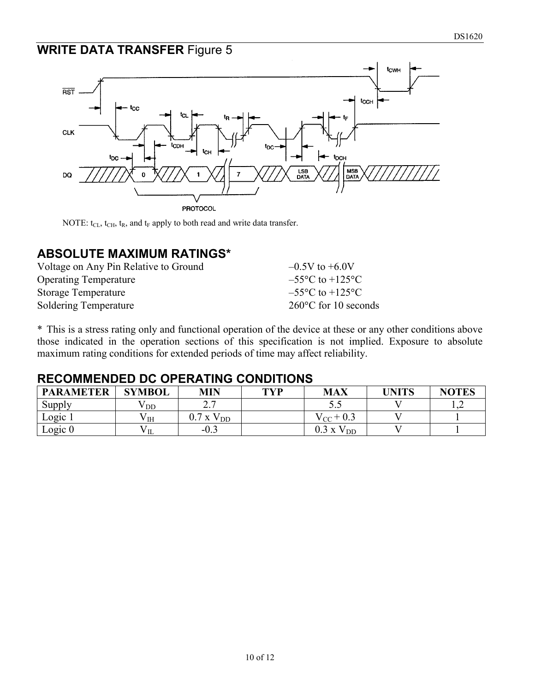#### **WRITE DATA TRANSFER** Figure 5



NOTE:  $t_{CL}$ ,  $t_{CH}$ ,  $t_R$ , and  $t_F$  apply to both read and write data transfer.

#### **ABSOLUTE MAXIMUM RATINGS\***

| Voltage on Any Pin Relative to Ground | $-0.5V$ to $+6.0V$                  |
|---------------------------------------|-------------------------------------|
| <b>Operating Temperature</b>          | $-55^{\circ}$ C to $+125^{\circ}$ C |
| <b>Storage Temperature</b>            | $-55^{\circ}$ C to $+125^{\circ}$ C |
| Soldering Temperature                 | $260^{\circ}$ C for 10 seconds      |

\* This is a stress rating only and functional operation of the device at these or any other conditions above those indicated in the operation sections of this specification is not implied. Exposure to absolute maximum rating conditions for extended periods of time may affect reliability.

#### **RECOMMENDED DC OPERATING CONDITIONS**

| <b>PARAMETER</b> | <b>SYMBOL</b> | <b>MIN</b>            | <b>TVP</b> | <b>MAX</b>       | <b>UNITS</b> | <b>NOTES</b> |
|------------------|---------------|-----------------------|------------|------------------|--------------|--------------|
| Supply           | / DD          | $\sim$ $\tau$<br>∠. ≀ |            | J.J              |              |              |
| Logic 1          | V IH          | $0.7$ x $V_{DD}$      |            | $V_{CC}$ + 0.3   |              |              |
| Logic 0          | VЩ            | $-0.3$                |            | $0.3$ x $V_{DD}$ |              |              |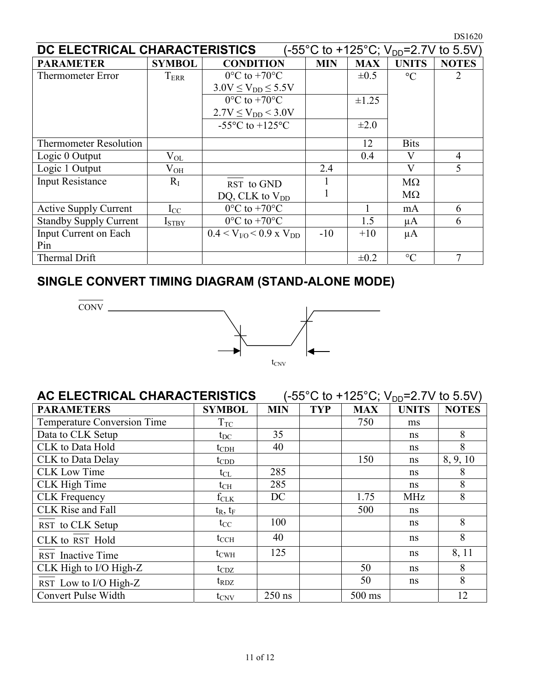| DC ELECTRICAL CHARACTERISTICS |                   |                                                       |            |            |                 | (-55°C to +125°C; V <sub>DD</sub> =2.7V to 5.5V) |
|-------------------------------|-------------------|-------------------------------------------------------|------------|------------|-----------------|--------------------------------------------------|
| <b>PARAMETER</b>              | <b>SYMBOL</b>     | <b>CONDITION</b>                                      | <b>MIN</b> | <b>MAX</b> | <b>UNITS</b>    | <b>NOTES</b>                                     |
| <b>Thermometer Error</b>      | $T_{\rm{ERR}}$    | $0^{\circ}$ C to +70 $^{\circ}$ C                     |            | $\pm 0.5$  | $\rm ^{\circ}C$ |                                                  |
|                               |                   | $3.0V \le V_{DD} \le 5.5V$                            |            |            |                 |                                                  |
|                               |                   | $0^{\circ}$ C to +70 $^{\circ}$ C                     |            | $\pm 1.25$ |                 |                                                  |
|                               |                   | $2.7V \le V_{DD} < 3.0V$                              |            |            |                 |                                                  |
|                               |                   | -55 $\mathrm{^{\circ}C}$ to +125 $\mathrm{^{\circ}C}$ |            | $\pm 2.0$  |                 |                                                  |
| <b>Thermometer Resolution</b> |                   |                                                       |            | 12         | <b>Bits</b>     |                                                  |
| Logic 0 Output                | $\rm V_{OL}$      |                                                       |            | 0.4        | V               | $\overline{4}$                                   |
| Logic 1 Output                | $\rm V_{OH}$      |                                                       | 2.4        |            | V               | 5                                                |
| <b>Input Resistance</b>       | $R_{I}$           | RST to GND                                            |            |            | $M\Omega$       |                                                  |
|                               |                   | DQ, CLK to $V_{DD}$                                   |            |            | $M\Omega$       |                                                  |
| <b>Active Supply Current</b>  | $I_{CC}$          | $0^{\circ}$ C to +70 $^{\circ}$ C                     |            |            | mA              | 6                                                |
| <b>Standby Supply Current</b> | I <sub>STBY</sub> | $0^{\circ}$ C to +70 $^{\circ}$ C                     |            | 1.5        | μA              | 6                                                |
| Input Current on Each         |                   | $0.4 < V_{VQ} < 0.9$ x $V_{DD}$                       | $-10$      | $+10$      | $\mu A$         |                                                  |
| Pin                           |                   |                                                       |            |            |                 |                                                  |
| Thermal Drift                 |                   |                                                       |            | $\pm 0.2$  | $\rm ^{\circ}C$ | $\tau$                                           |

# **SINGLE CONVERT TIMING DIAGRAM (STAND-ALONE MODE)**

CONV



| AC ELECTRICAL CHARACTERISTICS |                  |            |            |            | (-55°C to +125°C; V <sub>DD</sub> =2.7V to 5.5V) |              |
|-------------------------------|------------------|------------|------------|------------|--------------------------------------------------|--------------|
| <b>PARAMETERS</b>             | <b>SYMBOL</b>    | <b>MIN</b> | <b>TYP</b> | <b>MAX</b> | <b>UNITS</b>                                     | <b>NOTES</b> |
| Temperature Conversion Time   | $T_{TC}$         |            |            | 750        | ms                                               |              |
| Data to CLK Setup             | $t_{\rm DC}$     | 35         |            |            | ns                                               | 8            |
| CLK to Data Hold              | $t_{\rm CDH}$    | 40         |            |            | ns                                               | 8            |
| <b>CLK</b> to Data Delay      | $t_{\rm CDD}$    |            |            | 150        | ns                                               | 8, 9, 10     |
| <b>CLK Low Time</b>           | $t_{CL}$         | 285        |            |            | ns                                               | 8            |
| <b>CLK</b> High Time          | $t_{\rm CH}$     | 285        |            |            | ns                                               | 8            |
| <b>CLK</b> Frequency          | $f_{CLK}$        | DC         |            | 1.75       | <b>MHz</b>                                       | 8            |
| <b>CLK</b> Rise and Fall      | $t_R$ , $t_F$    |            |            | 500        | ns                                               |              |
| RST to CLK Setup              | $t_{\rm CC}$     | 100        |            |            | ns                                               | 8            |
| CLK to RST Hold               | $t_{\rm CCH}$    | 40         |            |            | <sub>ns</sub>                                    | 8            |
| RST Inactive Time             | $t_{\text{CWH}}$ | 125        |            |            | <sub>ns</sub>                                    | 8, 11        |
| CLK High to I/O High-Z        | $t_{CDZ}$        |            |            | 50         | ns                                               | 8            |
| RST Low to I/O High-Z         | $t_{\rm RDZ}$    |            |            | 50         | ns                                               | 8            |
| Convert Pulse Width           | $t_{\text{CNV}}$ | $250$ ns   |            | 500 ms     |                                                  | 12           |